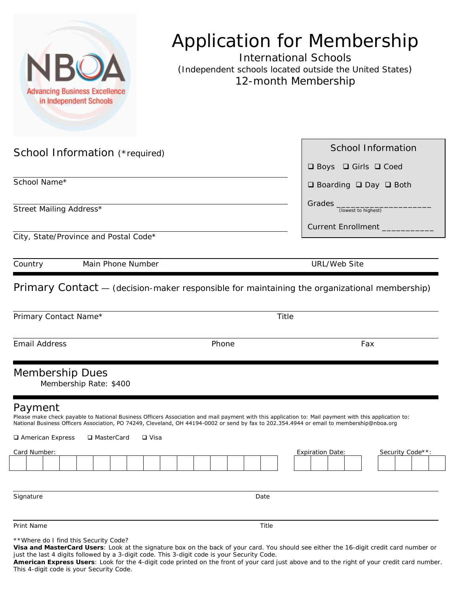| <b>Advancing Business Excellence</b><br>in Independent Schools                                                                                                                                                                                                                                                | <b>Application for Membership</b><br><b>International Schools</b><br>(Independent schools located outside the United States)<br>12-month Membership |  |
|---------------------------------------------------------------------------------------------------------------------------------------------------------------------------------------------------------------------------------------------------------------------------------------------------------------|-----------------------------------------------------------------------------------------------------------------------------------------------------|--|
| School Information (*required)                                                                                                                                                                                                                                                                                | <b>School Information</b><br>$\Box$ Boys $\Box$ Girls $\Box$ Coed                                                                                   |  |
| School Name*                                                                                                                                                                                                                                                                                                  | $\Box$ Boarding $\Box$ Day $\Box$ Both                                                                                                              |  |
| Street Mailing Address*                                                                                                                                                                                                                                                                                       | Grades <sub>(lowest to highest)</sub>                                                                                                               |  |
|                                                                                                                                                                                                                                                                                                               | Current Enrollment                                                                                                                                  |  |
| City, State/Province and Postal Code*                                                                                                                                                                                                                                                                         |                                                                                                                                                     |  |
| Main Phone Number<br>Country                                                                                                                                                                                                                                                                                  | URL/Web Site                                                                                                                                        |  |
| Primary Contact - (decision-maker responsible for maintaining the organizational membership)                                                                                                                                                                                                                  |                                                                                                                                                     |  |
| Primary Contact Name*                                                                                                                                                                                                                                                                                         | Title                                                                                                                                               |  |
| <b>Email Address</b><br>Phone                                                                                                                                                                                                                                                                                 | Fax                                                                                                                                                 |  |
| <b>Membership Dues</b><br>Membership Rate: \$400                                                                                                                                                                                                                                                              |                                                                                                                                                     |  |
| Payment<br>Please make check payable to National Business Officers Association and mail payment with this application to: Mail payment with this application to:<br>National Business Officers Association, PO 74249, Cleveland, OH 44194-0002 or send by fax to 202.354.4944 or email to membership@nboa.org |                                                                                                                                                     |  |
| □ MasterCard<br>American Express<br>□ Visa<br>Card Number:                                                                                                                                                                                                                                                    | Security Code**:                                                                                                                                    |  |
|                                                                                                                                                                                                                                                                                                               | <b>Expiration Date:</b>                                                                                                                             |  |
| Signature<br>Date                                                                                                                                                                                                                                                                                             |                                                                                                                                                     |  |
|                                                                                                                                                                                                                                                                                                               |                                                                                                                                                     |  |
| Print Name<br>Title                                                                                                                                                                                                                                                                                           |                                                                                                                                                     |  |
| ** Where do I find this Security Code?                                                                                                                                                                                                                                                                        |                                                                                                                                                     |  |

**Visa and MasterCard Users**: Look at the signature box on the back of your card. You should see either the 16-digit credit card number or

just the last 4 digits followed by a 3-digit code. This 3-digit code is your Security Code. **American Express Users**: Look for the 4-digit code printed on the front of your card just above and to the right of your credit card number. This 4-digit code is your Security Code.